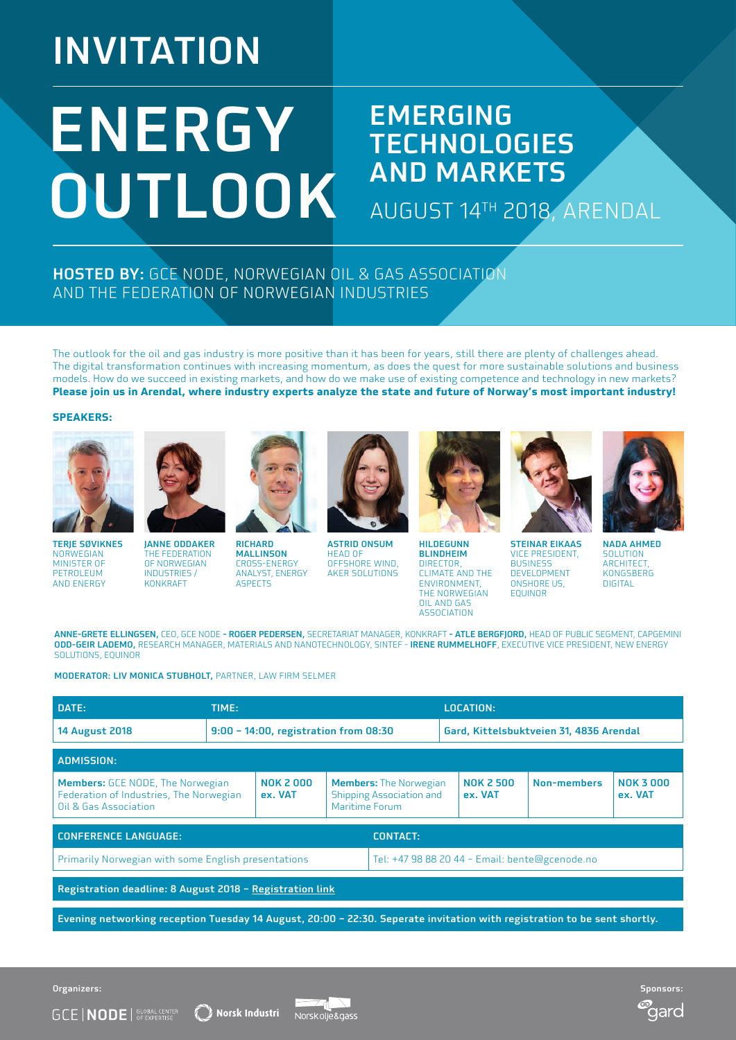# INVITATION

# ENERGY OUTLOOK

### EMERGING **TECHNOLOGIES** AND MARKETS

AUGUST 14TH 2018, ARENDAL

#### HOSTED BY: GCE NODE, NORWEGIAN OIL & GAS ASSOCIATION AND THE FEDERATION OF NORWEGIAN INDUSTRIES

The outlook for the oil and gas industry is more positive than it has been for years, still there are plenty of challenges ahead. The digital transformation continues with increasing momentum, as does the quest for more sustainable solutions and business models. How do we succeed in existing markets, and how do we make use of existing competence and technology in new markets? **Please join us in Arendal, where industry experts analyze the state and future of Norway's most important industry!**

#### **SPEAKERS:**



TERJE SØVIKNES **NORWEGIAN** MINISTER OF PETROLEUM AND ENERGY



THE FEDERATION OF NORWEGIAN INDUSTRIES / KONKRAFT



**RICHARD** MALLINSON CROSS-ENERGY ANALYST, ENERGY **ASPECTS** 



ASTRID ONSUM HEAD OF OFFSHORE WIND, AKER SOLUTIONS



HILDEGUNN BLINDHEIM DIRECTOR, CLIMATE AND THE ENVIRONMENT, THE NORWEGIAN OIL AND GAS ASSOCIATION



STEINAR EIKAAS VICE PRESIDENT, **BUSINESS** DEVELOPMENT ONSHORE US. EQUINOR



NADA AHMED SOLUTION **ARCHITECT** KONGSBERG DIGITAL

qarc

ANNE-GRETE ELLINGSEN, CEO, GCE NODE - ROGER PEDERSEN, SECRETARIAT MANAGER, KONKRAFT - ATLE BERGFJORD, HEAD OF PUBLIC SEGMENT, CAPGEMINI ODD-GEIR LADEMO, RESEARCH MANAGER, MATERIALS AND NANOTECHNOLOGY, SINTEF - IRENE RUMMELHOFF, EXECUTIVE VICE PRESIDENT, NEW ENERGY SOLUTIONS, EQUINOR

MODERATOR: LIV MONICA STUBHOLT, PARTNER, LAW FIRM SELMER

 $\widehat{\ell}$  Norsk Industri

| DATE:                                                                                                                    | TIME: |                                       |                                                                                    | <b>LOCATION:</b>                               |                             |             |                            |  |
|--------------------------------------------------------------------------------------------------------------------------|-------|---------------------------------------|------------------------------------------------------------------------------------|------------------------------------------------|-----------------------------|-------------|----------------------------|--|
| <b>14 August 2018</b>                                                                                                    |       | 9:00 - 14:00, registration from 08:30 | Gard, Kittelsbuktveien 31, 4836 Arendal                                            |                                                |                             |             |                            |  |
| <b>ADMISSION:</b>                                                                                                        |       |                                       |                                                                                    |                                                |                             |             |                            |  |
| <b>Members:</b> GCE NODE, The Norwegian<br>Federation of Industries, The Norwegian<br>Oil & Gas Association              |       | <b>NOK 2000</b><br>ex. VAT            | <b>Members:</b> The Norwegian<br><b>Shipping Association and</b><br>Maritime Forum |                                                | <b>NOK 2 500</b><br>ex. VAT | Non-members | <b>NOK 3000</b><br>ex. VAT |  |
| <b>CONFERENCE LANGUAGE:</b><br><b>CONTACT:</b>                                                                           |       |                                       |                                                                                    |                                                |                             |             |                            |  |
| Primarily Norwegian with some English presentations                                                                      |       |                                       |                                                                                    | Tel: +47 98 88 20 44 - Email: bente@gcenode.no |                             |             |                            |  |
| Registration deadline: 8 August 2018 - Registration link                                                                 |       |                                       |                                                                                    |                                                |                             |             |                            |  |
| Evening networking reception Tuesday 14 August, 20:00 - 22:30. Seperate invitation with registration to be sent shortly. |       |                                       |                                                                                    |                                                |                             |             |                            |  |

Norskolie&gass

Organizers: Sponsors:

**GCE | NODE** | GE OF EXPERTISE